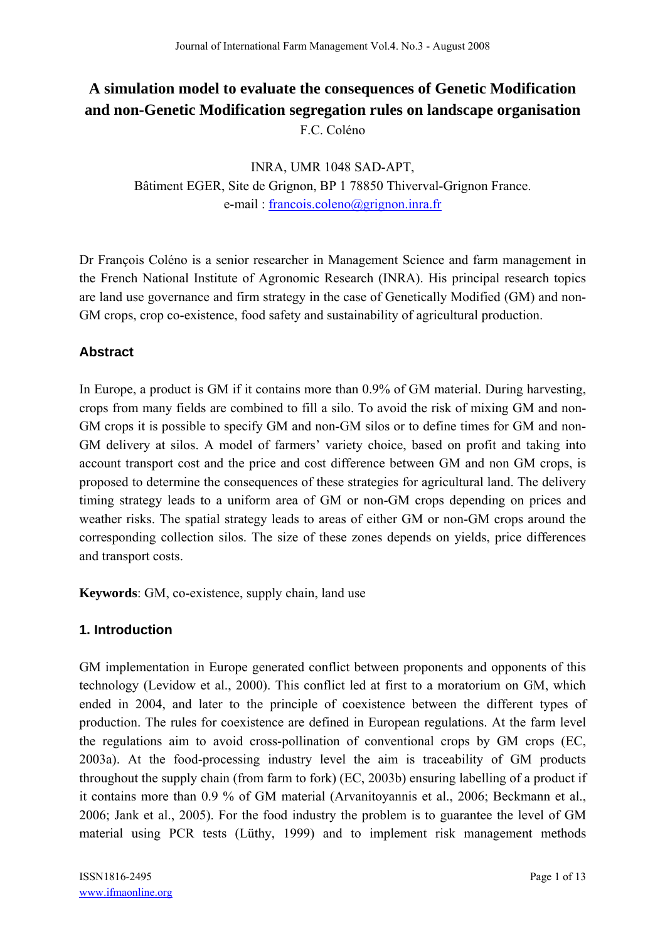# **A simulation model to evaluate the consequences of Genetic Modification and non-Genetic Modification segregation rules on landscape organisation**  F.C. Coléno

INRA, UMR 1048 SAD-APT, Bâtiment EGER, Site de Grignon, BP 1 78850 Thiverval-Grignon France. e-mail : francois.coleno@grignon.inra.fr

Dr François Coléno is a senior researcher in Management Science and farm management in the French National Institute of Agronomic Research (INRA). His principal research topics are land use governance and firm strategy in the case of Genetically Modified (GM) and non-GM crops, crop co-existence, food safety and sustainability of agricultural production.

## **Abstract**

In Europe, a product is GM if it contains more than 0.9% of GM material. During harvesting, crops from many fields are combined to fill a silo. To avoid the risk of mixing GM and non-GM crops it is possible to specify GM and non-GM silos or to define times for GM and non-GM delivery at silos. A model of farmers' variety choice, based on profit and taking into account transport cost and the price and cost difference between GM and non GM crops, is proposed to determine the consequences of these strategies for agricultural land. The delivery timing strategy leads to a uniform area of GM or non-GM crops depending on prices and weather risks. The spatial strategy leads to areas of either GM or non-GM crops around the corresponding collection silos. The size of these zones depends on yields, price differences and transport costs.

**Keywords**: GM, co-existence, supply chain, land use

## **1. Introduction**

GM implementation in Europe generated conflict between proponents and opponents of this technology (Levidow et al., 2000). This conflict led at first to a moratorium on GM, which ended in 2004, and later to the principle of coexistence between the different types of production. The rules for coexistence are defined in European regulations. At the farm level the regulations aim to avoid cross-pollination of conventional crops by GM crops (EC, 2003a). At the food-processing industry level the aim is traceability of GM products throughout the supply chain (from farm to fork) (EC, 2003b) ensuring labelling of a product if it contains more than 0.9 % of GM material (Arvanitoyannis et al., 2006; Beckmann et al., 2006; Jank et al., 2005). For the food industry the problem is to guarantee the level of GM material using PCR tests (Lüthy, 1999) and to implement risk management methods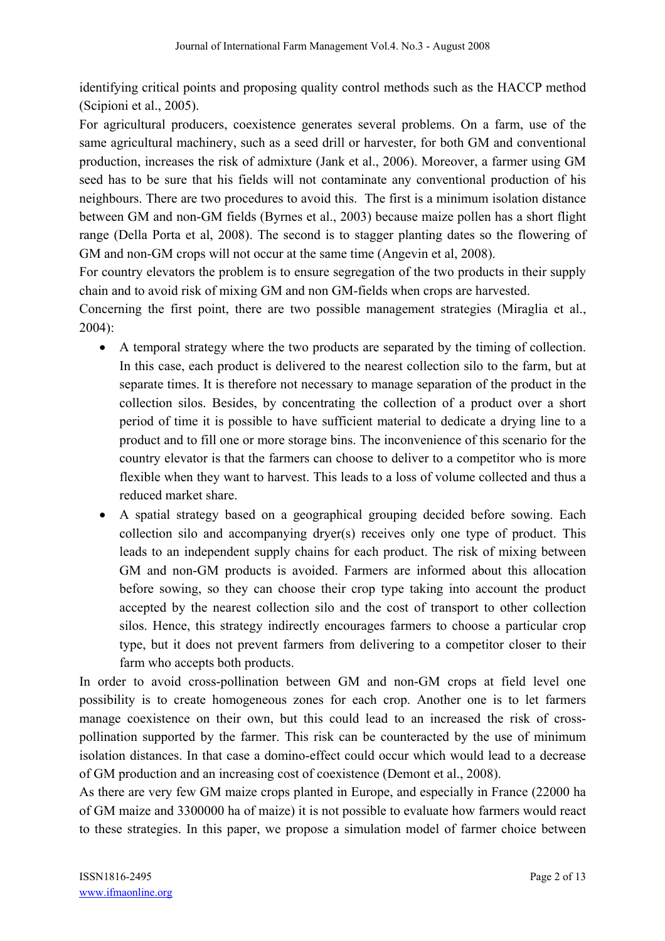identifying critical points and proposing quality control methods such as the HACCP method (Scipioni et al., 2005).

For agricultural producers, coexistence generates several problems. On a farm, use of the same agricultural machinery, such as a seed drill or harvester, for both GM and conventional production, increases the risk of admixture (Jank et al., 2006). Moreover, a farmer using GM seed has to be sure that his fields will not contaminate any conventional production of his neighbours. There are two procedures to avoid this. The first is a minimum isolation distance between GM and non-GM fields (Byrnes et al., 2003) because maize pollen has a short flight range (Della Porta et al, 2008). The second is to stagger planting dates so the flowering of GM and non-GM crops will not occur at the same time (Angevin et al, 2008).

For country elevators the problem is to ensure segregation of the two products in their supply chain and to avoid risk of mixing GM and non GM-fields when crops are harvested.

Concerning the first point, there are two possible management strategies (Miraglia et al., 2004):

- A temporal strategy where the two products are separated by the timing of collection. In this case, each product is delivered to the nearest collection silo to the farm, but at separate times. It is therefore not necessary to manage separation of the product in the collection silos. Besides, by concentrating the collection of a product over a short period of time it is possible to have sufficient material to dedicate a drying line to a product and to fill one or more storage bins. The inconvenience of this scenario for the country elevator is that the farmers can choose to deliver to a competitor who is more flexible when they want to harvest. This leads to a loss of volume collected and thus a reduced market share.
- A spatial strategy based on a geographical grouping decided before sowing. Each collection silo and accompanying dryer(s) receives only one type of product. This leads to an independent supply chains for each product. The risk of mixing between GM and non-GM products is avoided. Farmers are informed about this allocation before sowing, so they can choose their crop type taking into account the product accepted by the nearest collection silo and the cost of transport to other collection silos. Hence, this strategy indirectly encourages farmers to choose a particular crop type, but it does not prevent farmers from delivering to a competitor closer to their farm who accepts both products.

In order to avoid cross-pollination between GM and non-GM crops at field level one possibility is to create homogeneous zones for each crop. Another one is to let farmers manage coexistence on their own, but this could lead to an increased the risk of crosspollination supported by the farmer. This risk can be counteracted by the use of minimum isolation distances. In that case a domino-effect could occur which would lead to a decrease of GM production and an increasing cost of coexistence (Demont et al., 2008).

As there are very few GM maize crops planted in Europe, and especially in France (22000 ha of GM maize and 3300000 ha of maize) it is not possible to evaluate how farmers would react to these strategies. In this paper, we propose a simulation model of farmer choice between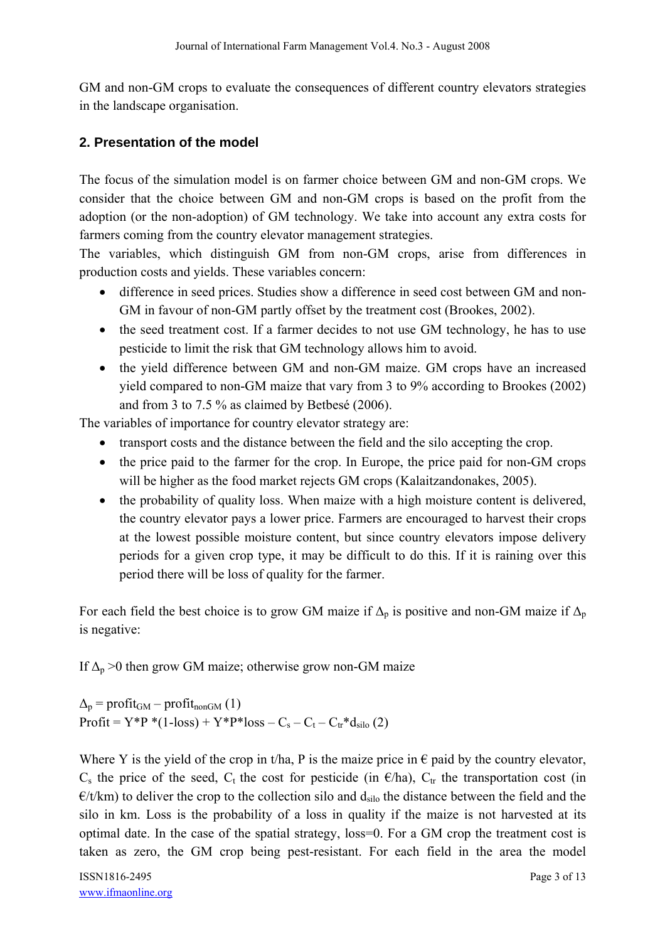GM and non-GM crops to evaluate the consequences of different country elevators strategies in the landscape organisation.

## **2. Presentation of the model**

The focus of the simulation model is on farmer choice between GM and non-GM crops. We consider that the choice between GM and non-GM crops is based on the profit from the adoption (or the non-adoption) of GM technology. We take into account any extra costs for farmers coming from the country elevator management strategies.

The variables, which distinguish GM from non-GM crops, arise from differences in production costs and yields. These variables concern:

- difference in seed prices. Studies show a difference in seed cost between GM and non-GM in favour of non-GM partly offset by the treatment cost (Brookes, 2002).
- the seed treatment cost. If a farmer decides to not use GM technology, he has to use pesticide to limit the risk that GM technology allows him to avoid.
- the yield difference between GM and non-GM maize. GM crops have an increased yield compared to non-GM maize that vary from 3 to 9% according to Brookes (2002) and from 3 to 7.5 % as claimed by Betbesé (2006).

The variables of importance for country elevator strategy are:

- transport costs and the distance between the field and the silo accepting the crop.
- the price paid to the farmer for the crop. In Europe, the price paid for non-GM crops will be higher as the food market rejects GM crops (Kalaitzandonakes, 2005).
- the probability of quality loss. When maize with a high moisture content is delivered, the country elevator pays a lower price. Farmers are encouraged to harvest their crops at the lowest possible moisture content, but since country elevators impose delivery periods for a given crop type, it may be difficult to do this. If it is raining over this period there will be loss of quality for the farmer.

For each field the best choice is to grow GM maize if  $\Delta_p$  is positive and non-GM maize if  $\Delta_p$ is negative:

If  $\Delta_p$  >0 then grow GM maize; otherwise grow non-GM maize

 $\Delta_{p}$  = profit<sub>GM</sub> – profit<sub>nonGM</sub> (1)  $Profit = Y*P * (1-loss) + Y*P*loss - C_s - C_t - C_{tr}*d_{silo} (2)$ 

Where Y is the yield of the crop in t/ha, P is the maize price in  $\epsilon$  paid by the country elevator,  $C_s$  the price of the seed,  $C_t$  the cost for pesticide (in  $\epsilon$ /ha),  $C_t$  the transportation cost (in  $E/t/km$ ) to deliver the crop to the collection silo and  $d_{\rm silo}$  the distance between the field and the silo in km. Loss is the probability of a loss in quality if the maize is not harvested at its optimal date. In the case of the spatial strategy, loss=0. For a GM crop the treatment cost is taken as zero, the GM crop being pest-resistant. For each field in the area the model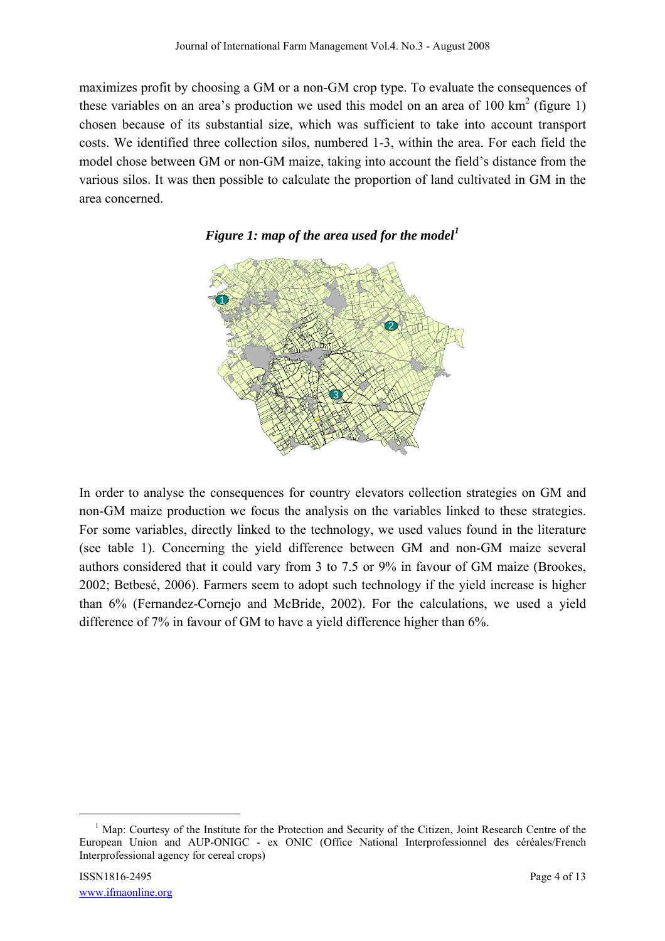maximizes profit by choosing a GM or a non-GM crop type. To evaluate the consequences of these variables on an area's production we used this model on an area of 100 km<sup>2</sup> (figure 1) chosen because of its substantial size, which was sufficient to take into account transport costs. We identified three collection silos, numbered 1-3, within the area. For each field the model chose between GM or non-GM maize, taking into account the field's distance from the various silos. It was then possible to calculate the proportion of land cultivated in GM in the area concerned.





In order to analyse the consequences for country elevators collection strategies on GM and non-GM maize production we focus the analysis on the variables linked to these strategies. For some variables, directly linked to the technology, we used values found in the literature (see table 1). Concerning the yield difference between GM and non-GM maize several authors considered that it could vary from 3 to 7.5 or 9% in favour of GM maize (Brookes, 2002; Betbesé, 2006). Farmers seem to adopt such technology if the yield increase is higher than 6% (Fernandez-Cornejo and McBride, 2002). For the calculations, we used a yield difference of 7% in favour of GM to have a yield difference higher than 6%.

 <sup>1</sup>  $<sup>1</sup>$  Map: Courtesy of the Institute for the Protection and Security of the Citizen, Joint Research Centre of the</sup> European Union and AUP-ONIGC - ex ONIC (Office National Interprofessionnel des céréales/French Interprofessional agency for cereal crops)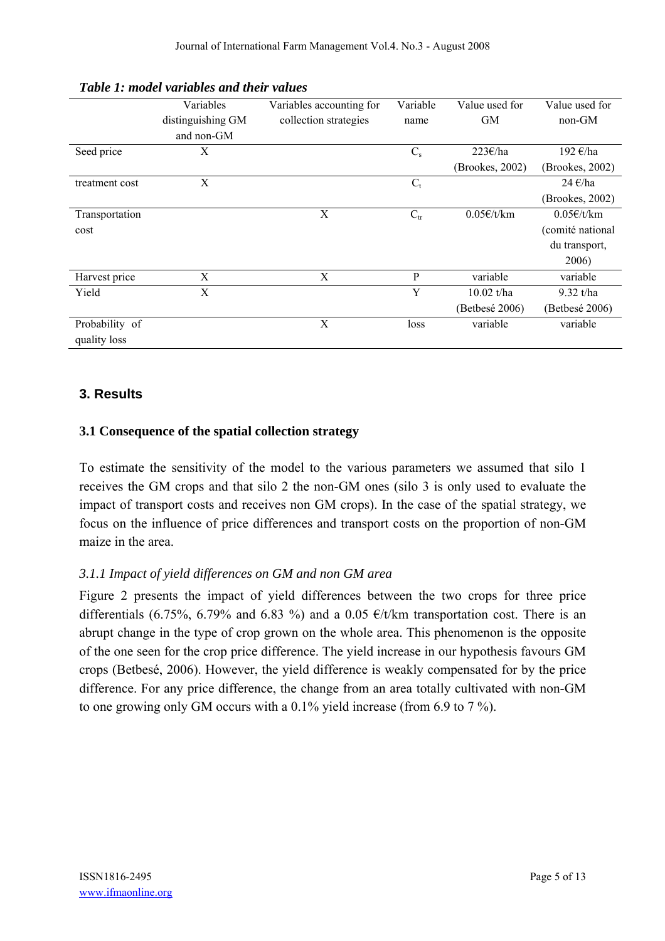|                | Variables         | Variables accounting for | Variable     | Value used for  | Value used for       |
|----------------|-------------------|--------------------------|--------------|-----------------|----------------------|
|                | distinguishing GM | collection strategies    | name         | <b>GM</b>       | non-GM               |
|                | and non-GM        |                          |              |                 |                      |
| Seed price     | X                 |                          | $C_{\rm s}$  | 223€/ha         | 192 €/ha             |
|                |                   |                          |              | (Brookes, 2002) | (Brookes, 2002)      |
| treatment cost | X                 |                          | $C_{t}$      |                 | 24 $\varepsilon$ /ha |
|                |                   |                          |              |                 | (Brookes, 2002)      |
| Transportation |                   | X                        | $C_{tr}$     | 0.05E/t/km      | 0.05E/t/km           |
| cost           |                   |                          |              |                 | (comité national     |
|                |                   |                          |              |                 | du transport,        |
|                |                   |                          |              |                 | 2006)                |
| Harvest price  | X                 | X                        | $\mathbf{P}$ | variable        | variable             |
| Yield          | X                 |                          | Y            | $10.02$ t/ha    | 9.32 t/ha            |
|                |                   |                          |              | (Betbesé 2006)  | (Betbesé 2006)       |
| Probability of |                   | X                        | loss         | variable        | variable             |
| quality loss   |                   |                          |              |                 |                      |

*Table 1: model variables and their values* 

## **3. Results**

#### **3.1 Consequence of the spatial collection strategy**

To estimate the sensitivity of the model to the various parameters we assumed that silo 1 receives the GM crops and that silo 2 the non-GM ones (silo 3 is only used to evaluate the impact of transport costs and receives non GM crops). In the case of the spatial strategy, we focus on the influence of price differences and transport costs on the proportion of non-GM maize in the area.

#### *3.1.1 Impact of yield differences on GM and non GM area*

Figure 2 presents the impact of yield differences between the two crops for three price differentials (6.75%, 6.79% and 6.83%) and a 0.05  $\epsilon/t/km$  transportation cost. There is an abrupt change in the type of crop grown on the whole area. This phenomenon is the opposite of the one seen for the crop price difference. The yield increase in our hypothesis favours GM crops (Betbesé, 2006). However, the yield difference is weakly compensated for by the price difference. For any price difference, the change from an area totally cultivated with non-GM to one growing only GM occurs with a 0.1% yield increase (from 6.9 to 7 %).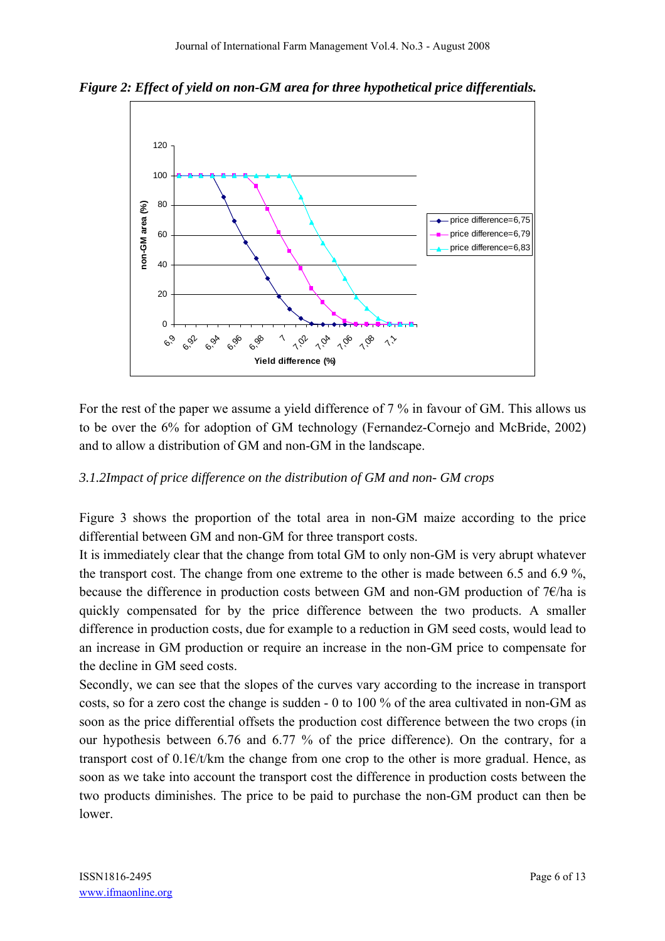*Figure 2: Effect of yield on non-GM area for three hypothetical price differentials.* 



For the rest of the paper we assume a yield difference of 7 % in favour of GM. This allows us to be over the 6% for adoption of GM technology (Fernandez-Cornejo and McBride, 2002) and to allow a distribution of GM and non-GM in the landscape.

#### *3.1.2Impact of price difference on the distribution of GM and non- GM crops*

Figure 3 shows the proportion of the total area in non-GM maize according to the price differential between GM and non-GM for three transport costs.

It is immediately clear that the change from total GM to only non-GM is very abrupt whatever the transport cost. The change from one extreme to the other is made between 6.5 and 6.9 %, because the difference in production costs between GM and non-GM production of  $7 \epsilon$ /ha is quickly compensated for by the price difference between the two products. A smaller difference in production costs, due for example to a reduction in GM seed costs, would lead to an increase in GM production or require an increase in the non-GM price to compensate for the decline in GM seed costs.

Secondly, we can see that the slopes of the curves vary according to the increase in transport costs, so for a zero cost the change is sudden - 0 to 100 % of the area cultivated in non-GM as soon as the price differential offsets the production cost difference between the two crops (in our hypothesis between 6.76 and 6.77 % of the price difference). On the contrary, for a transport cost of  $0.1 \in/t/km$  the change from one crop to the other is more gradual. Hence, as soon as we take into account the transport cost the difference in production costs between the two products diminishes. The price to be paid to purchase the non-GM product can then be lower.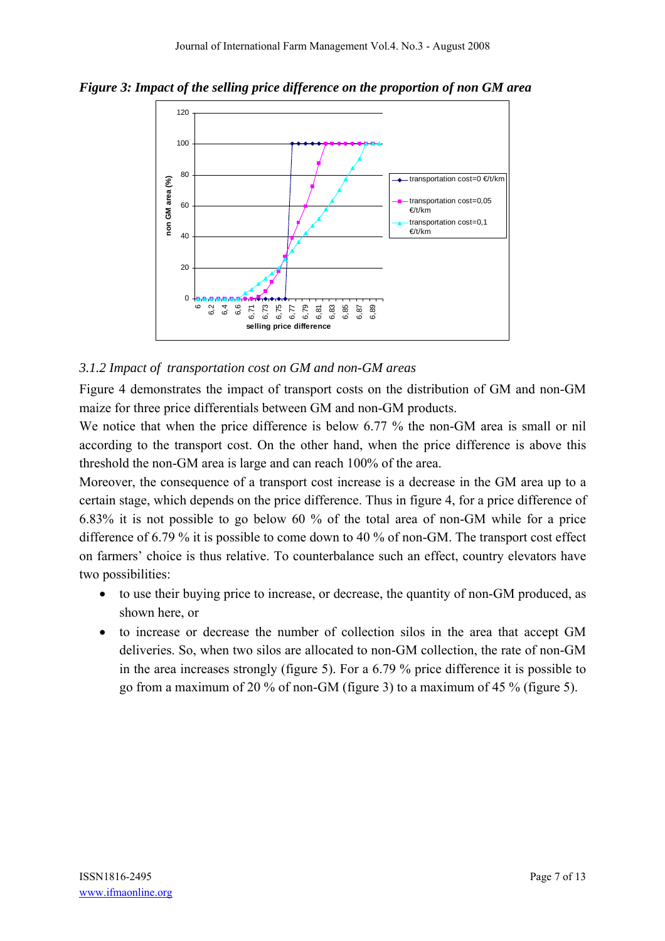*Figure 3: Impact of the selling price difference on the proportion of non GM area* 



## *3.1.2 Impact of transportation cost on GM and non-GM areas*

Figure 4 demonstrates the impact of transport costs on the distribution of GM and non-GM maize for three price differentials between GM and non-GM products.

We notice that when the price difference is below 6.77 % the non-GM area is small or nil according to the transport cost. On the other hand, when the price difference is above this threshold the non-GM area is large and can reach 100% of the area.

Moreover, the consequence of a transport cost increase is a decrease in the GM area up to a certain stage, which depends on the price difference. Thus in figure 4, for a price difference of 6.83% it is not possible to go below 60 % of the total area of non-GM while for a price difference of 6.79 % it is possible to come down to 40 % of non-GM. The transport cost effect on farmers' choice is thus relative. To counterbalance such an effect, country elevators have two possibilities:

- to use their buying price to increase, or decrease, the quantity of non-GM produced, as shown here, or
- to increase or decrease the number of collection silos in the area that accept GM deliveries. So, when two silos are allocated to non-GM collection, the rate of non-GM in the area increases strongly (figure 5). For a 6.79 % price difference it is possible to go from a maximum of 20 % of non-GM (figure 3) to a maximum of 45 % (figure 5).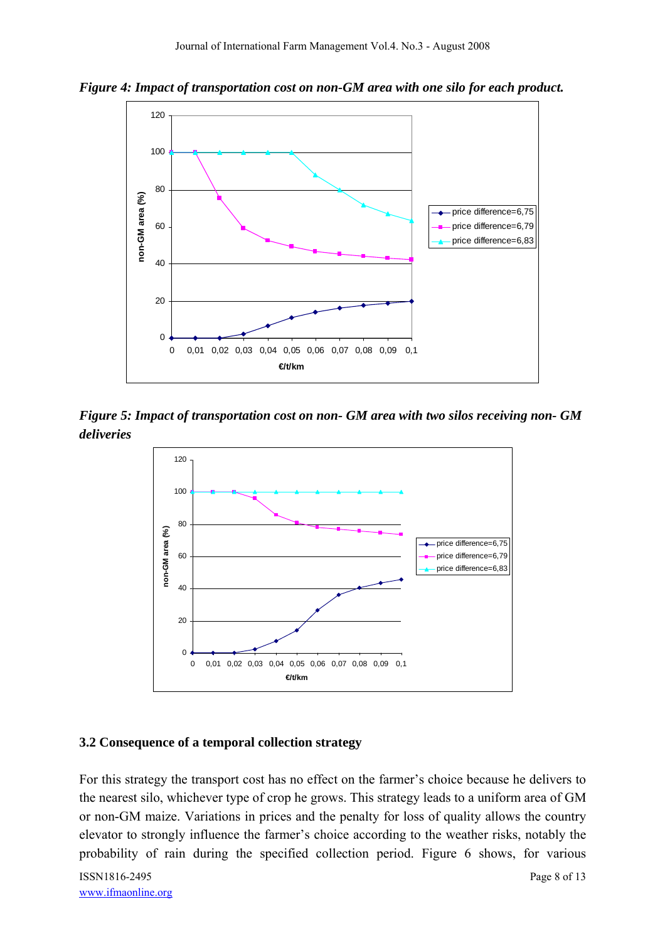*Figure 4: Impact of transportation cost on non-GM area with one silo for each product.* 



*Figure 5: Impact of transportation cost on non- GM area with two silos receiving non- GM deliveries* 



#### **3.2 Consequence of a temporal collection strategy**

For this strategy the transport cost has no effect on the farmer's choice because he delivers to the nearest silo, whichever type of crop he grows. This strategy leads to a uniform area of GM or non-GM maize. Variations in prices and the penalty for loss of quality allows the country elevator to strongly influence the farmer's choice according to the weather risks, notably the probability of rain during the specified collection period. Figure 6 shows, for various

ISSN1816-2495 Page 8 of 13 www.ifmaonline.org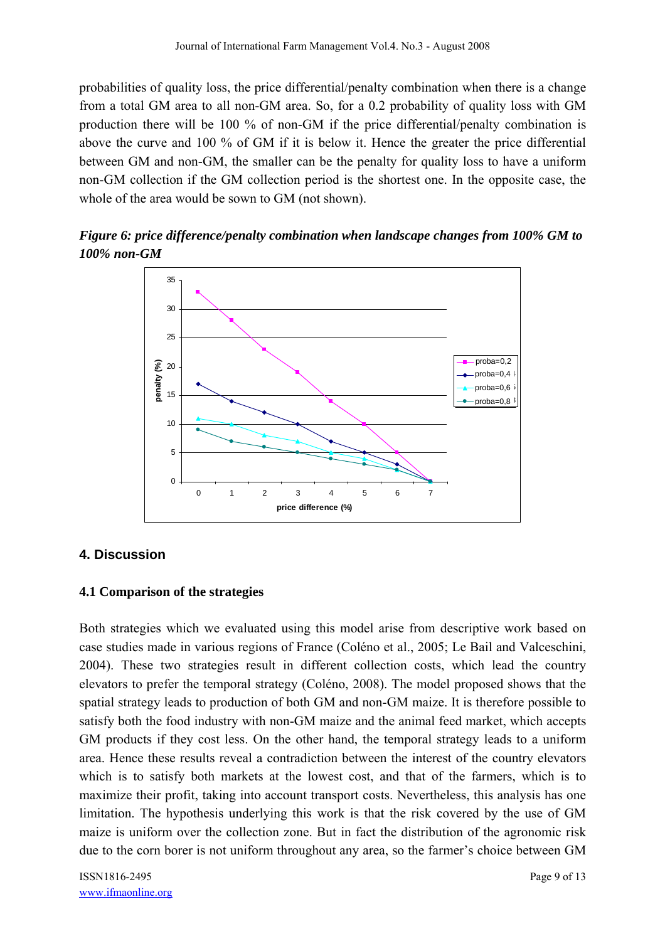probabilities of quality loss, the price differential/penalty combination when there is a change from a total GM area to all non-GM area. So, for a 0.2 probability of quality loss with GM production there will be 100 % of non-GM if the price differential/penalty combination is above the curve and 100 % of GM if it is below it. Hence the greater the price differential between GM and non-GM, the smaller can be the penalty for quality loss to have a uniform non-GM collection if the GM collection period is the shortest one. In the opposite case, the whole of the area would be sown to GM (not shown).

*Figure 6: price difference/penalty combination when landscape changes from 100% GM to 100% non-GM* 



## **4. Discussion**

#### **4.1 Comparison of the strategies**

Both strategies which we evaluated using this model arise from descriptive work based on case studies made in various regions of France (Coléno et al., 2005; Le Bail and Valceschini, 2004). These two strategies result in different collection costs, which lead the country elevators to prefer the temporal strategy (Coléno, 2008). The model proposed shows that the spatial strategy leads to production of both GM and non-GM maize. It is therefore possible to satisfy both the food industry with non-GM maize and the animal feed market, which accepts GM products if they cost less. On the other hand, the temporal strategy leads to a uniform area. Hence these results reveal a contradiction between the interest of the country elevators which is to satisfy both markets at the lowest cost, and that of the farmers, which is to maximize their profit, taking into account transport costs. Nevertheless, this analysis has one limitation. The hypothesis underlying this work is that the risk covered by the use of GM maize is uniform over the collection zone. But in fact the distribution of the agronomic risk due to the corn borer is not uniform throughout any area, so the farmer's choice between GM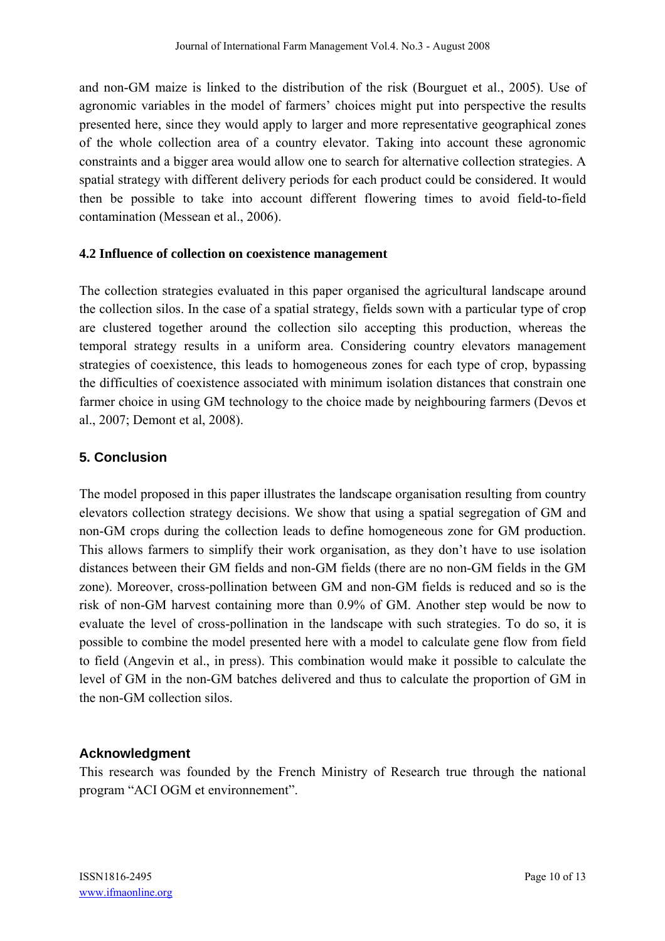and non-GM maize is linked to the distribution of the risk (Bourguet et al., 2005). Use of agronomic variables in the model of farmers' choices might put into perspective the results presented here, since they would apply to larger and more representative geographical zones of the whole collection area of a country elevator. Taking into account these agronomic constraints and a bigger area would allow one to search for alternative collection strategies. A spatial strategy with different delivery periods for each product could be considered. It would then be possible to take into account different flowering times to avoid field-to-field contamination (Messean et al., 2006).

#### **4.2 Influence of collection on coexistence management**

The collection strategies evaluated in this paper organised the agricultural landscape around the collection silos. In the case of a spatial strategy, fields sown with a particular type of crop are clustered together around the collection silo accepting this production, whereas the temporal strategy results in a uniform area. Considering country elevators management strategies of coexistence, this leads to homogeneous zones for each type of crop, bypassing the difficulties of coexistence associated with minimum isolation distances that constrain one farmer choice in using GM technology to the choice made by neighbouring farmers (Devos et al., 2007; Demont et al, 2008).

## **5. Conclusion**

The model proposed in this paper illustrates the landscape organisation resulting from country elevators collection strategy decisions. We show that using a spatial segregation of GM and non-GM crops during the collection leads to define homogeneous zone for GM production. This allows farmers to simplify their work organisation, as they don't have to use isolation distances between their GM fields and non-GM fields (there are no non-GM fields in the GM zone). Moreover, cross-pollination between GM and non-GM fields is reduced and so is the risk of non-GM harvest containing more than 0.9% of GM. Another step would be now to evaluate the level of cross-pollination in the landscape with such strategies. To do so, it is possible to combine the model presented here with a model to calculate gene flow from field to field (Angevin et al., in press). This combination would make it possible to calculate the level of GM in the non-GM batches delivered and thus to calculate the proportion of GM in the non-GM collection silos.

#### **Acknowledgment**

This research was founded by the French Ministry of Research true through the national program "ACI OGM et environnement".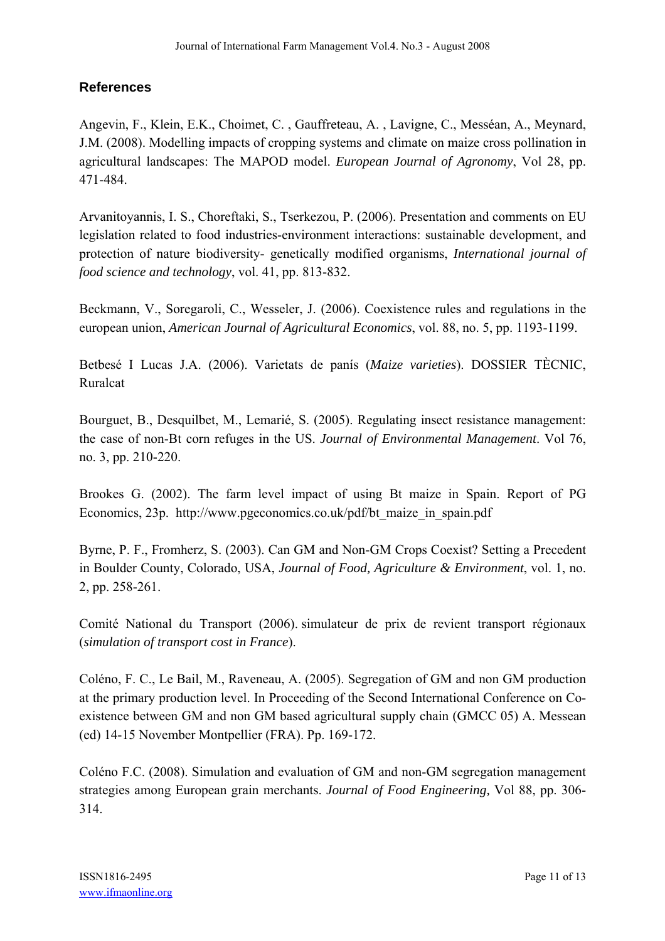## **References**

Angevin, F., Klein, E.K., Choimet, C. , Gauffreteau, A. , Lavigne, C., Messéan, A., Meynard, J.M. (2008). Modelling impacts of cropping systems and climate on maize cross pollination in agricultural landscapes: The MAPOD model. *European Journal of Agronomy*, Vol 28, pp. 471-484.

Arvanitoyannis, I. S., Choreftaki, S., Tserkezou, P. (2006). Presentation and comments on EU legislation related to food industries-environment interactions: sustainable development, and protection of nature biodiversity- genetically modified organisms, *International journal of food science and technology*, vol. 41, pp. 813-832.

Beckmann, V., Soregaroli, C., Wesseler, J. (2006). Coexistence rules and regulations in the european union, *American Journal of Agricultural Economics*, vol. 88, no. 5, pp. 1193-1199.

Betbesé I Lucas J.A. (2006). Varietats de panís (*Maize varieties*). DOSSIER TÈCNIC, Ruralcat

Bourguet, B., Desquilbet, M., Lemarié, S. (2005). Regulating insect resistance management: the case of non-Bt corn refuges in the US. *Journal of Environmental Management*. Vol 76, no. 3, pp. 210-220.

Brookes G. (2002). The farm level impact of using Bt maize in Spain. Report of PG Economics, 23p. http://www.pgeconomics.co.uk/pdf/bt\_maize\_in\_spain.pdf

Byrne, P. F., Fromherz, S. (2003). Can GM and Non-GM Crops Coexist? Setting a Precedent in Boulder County, Colorado, USA, *Journal of Food, Agriculture & Environment*, vol. 1, no. 2, pp. 258-261.

Comité National du Transport (2006). simulateur de prix de revient transport régionaux (*simulation of transport cost in France*).

Coléno, F. C., Le Bail, M., Raveneau, A. (2005). Segregation of GM and non GM production at the primary production level. In Proceeding of the Second International Conference on Coexistence between GM and non GM based agricultural supply chain (GMCC 05) A. Messean (ed) 14-15 November Montpellier (FRA). Pp. 169-172.

Coléno F.C. (2008). Simulation and evaluation of GM and non-GM segregation management strategies among European grain merchants. *Journal of Food Engineering,* Vol 88, pp. 306- 314.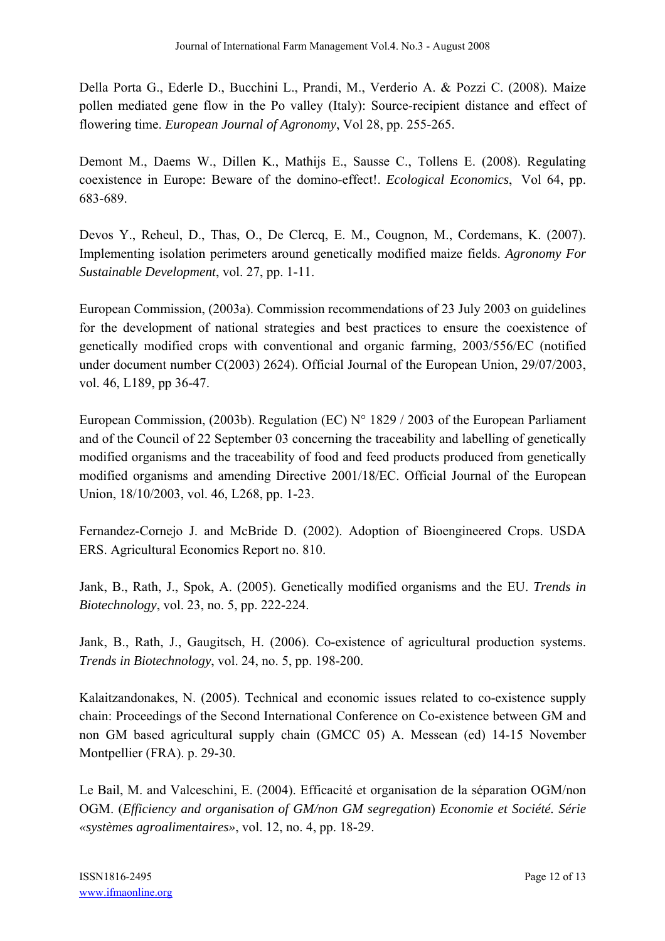Della Porta G., Ederle D., Bucchini L., Prandi, M., Verderio A. & Pozzi C. (2008). Maize pollen mediated gene flow in the Po valley (Italy): Source-recipient distance and effect of flowering time. *European Journal of Agronomy*, Vol 28, pp. 255-265.

Demont M., Daems W., Dillen K., Mathijs E., Sausse C., Tollens E. (2008). Regulating coexistence in Europe: Beware of the domino-effect!. *Ecological Economics*, Vol 64, pp. 683-689.

Devos Y., Reheul, D., Thas, O., De Clercq, E. M., Cougnon, M., Cordemans, K. (2007). Implementing isolation perimeters around genetically modified maize fields. *Agronomy For Sustainable Development*, vol. 27, pp. 1-11.

European Commission, (2003a). Commission recommendations of 23 July 2003 on guidelines for the development of national strategies and best practices to ensure the coexistence of genetically modified crops with conventional and organic farming, 2003/556/EC (notified under document number C(2003) 2624). Official Journal of the European Union, 29/07/2003, vol. 46, L189, pp 36-47.

European Commission, (2003b). Regulation (EC) N° 1829 / 2003 of the European Parliament and of the Council of 22 September 03 concerning the traceability and labelling of genetically modified organisms and the traceability of food and feed products produced from genetically modified organisms and amending Directive 2001/18/EC. Official Journal of the European Union, 18/10/2003, vol. 46, L268, pp. 1-23.

Fernandez-Cornejo J. and McBride D. (2002). Adoption of Bioengineered Crops. USDA ERS. Agricultural Economics Report no. 810.

Jank, B., Rath, J., Spok, A. (2005). Genetically modified organisms and the EU. *Trends in Biotechnology*, vol. 23, no. 5, pp. 222-224.

Jank, B., Rath, J., Gaugitsch, H. (2006). Co-existence of agricultural production systems. *Trends in Biotechnology*, vol. 24, no. 5, pp. 198-200.

Kalaitzandonakes, N. (2005). Technical and economic issues related to co-existence supply chain: Proceedings of the Second International Conference on Co-existence between GM and non GM based agricultural supply chain (GMCC 05) A. Messean (ed) 14-15 November Montpellier (FRA). p. 29-30.

Le Bail, M. and Valceschini, E. (2004). Efficacité et organisation de la séparation OGM/non OGM. (*Efficiency and organisation of GM/non GM segregation*) *Economie et Société. Série «systèmes agroalimentaires»*, vol. 12, no. 4, pp. 18-29.